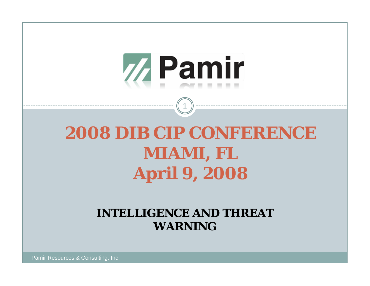

# **2008 DIB CIP CONFERENCEMIAMI, FL April 9, 2008**

#### **INTELLIGENCE AND THREAT WARNING**

Pamir Resources & Consulting, Inc.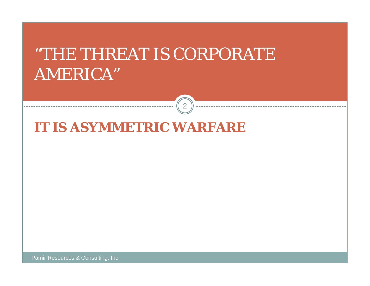# "THE THREAT IS CORPORATE AMERICA"

2

#### **IT IS ASYMMETRIC WARFARE**

Pamir Resources & Consulting, Inc.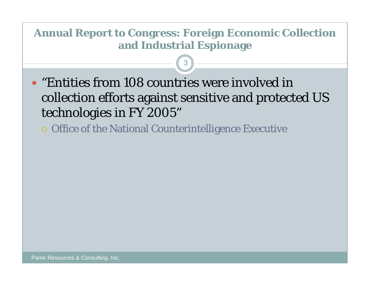#### **Annual Report to Congress: Foreign Economic Collection and Industrial Espionage**

- "Entities from 108 countries were involved in collection efforts against sensitive and protected US technologies in FY 2005"
	- { Office of the National Counterintelligence Executive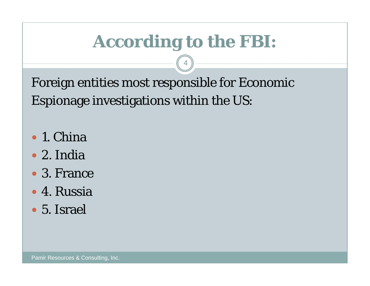# **According to the FBI:**

4

Foreign entities most responsible for Economic Espionage investigations within the US:

- $\bullet$  1. China
- $\bullet$  2. India
- 3. France
- 4. Russia
- 5. Israel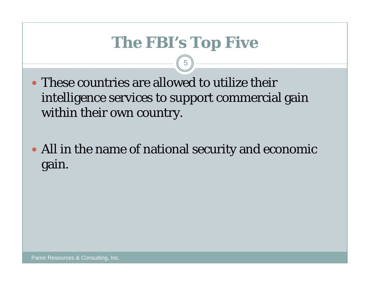## **The FBI's Top Five**

- These countries are allowed to utilize their intelligence services to support commercial gain within their own country.
- All in the name of national security and economic gain.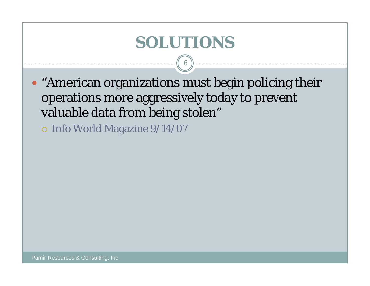## **SOLUTIONS**

6

• "American organizations must begin policing their operations more aggressively today to prevent valuable data from being stolen"

{ Info World Magazine 9/14/07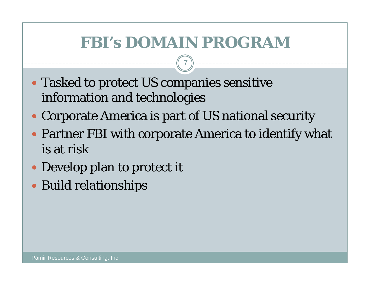## **FBI's DOMAIN PROGRAM**

- Tasked to protect US companies sensitive information and technologies
- Corporate America is part of US national security
- Partner FBI with corporate America to identify what is at risk
- Develop plan to protect it
- Build relationships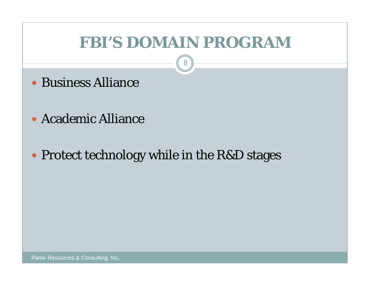### **FBI'S DOMAIN PROGRAM**

- Business Alliance
- Academic Alliance
- Protect technology while in the R&D stages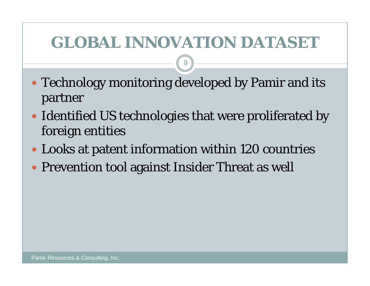## **GLOBAL INNOVATION DATASET**

- Technology monitoring developed by Pamir and its partner
- Identified US technologies that were proliferated by foreign entities
- Looks at patent information within 120 countries
- Prevention tool against Insider Threat as well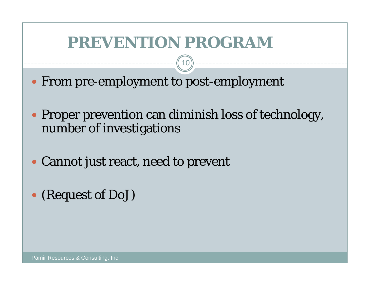### **PREVENTION PROGRAM**

- From pre-employment to post-employment
- Proper prevention can diminish loss of technology, number of investigations
- Cannot just react, need to prevent
- (Request of DoJ)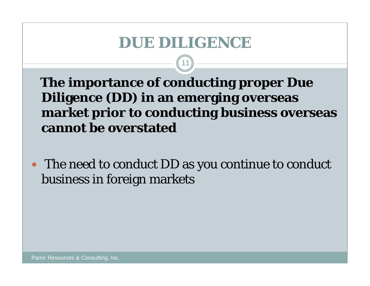11

**The importance of conducting proper Due Diligence (DD) in an emerging overseas market prior to conducting business overseas cannot be overstated**

• The need to conduct DD as you continue to conduct business in foreign markets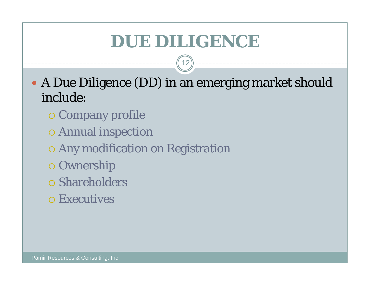- A Due Diligence (DD) in an emerging market should include:
	- **O Company profile**
	- { Annual inspection
	- { Any modification on Registration
	- **O** Ownership
	- **o** Shareholders
	- **o** Executives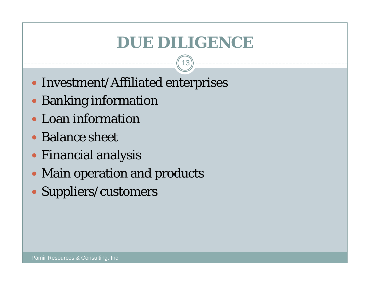- Investment/Affiliated enterprises
- Banking information
- Loan information
- Balance sheet
- Financial analysis
- Main operation and products
- Suppliers/customers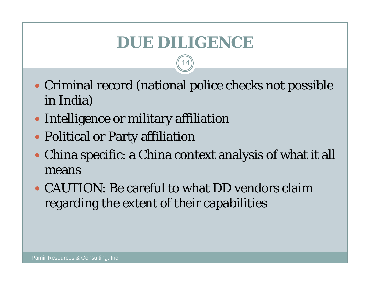- Criminal record (national police checks not possible in India)
- Intelligence or military affiliation
- Political or Party affiliation
- China specific: a China context analysis of what it all means
- CAUTION: Be careful to what DD vendors claim regarding the extent of their capabilities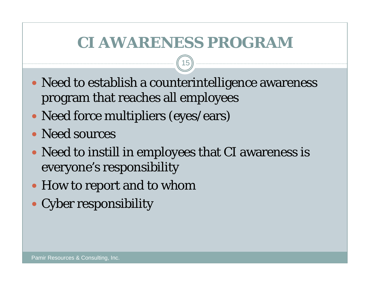#### **CI AWARENESS PROGRAM**

- Need to establish a counterintelligence awareness program that reaches all employees
- Need force multipliers (eyes/ears)
- Need sources
- Need to instill in employees that CI awareness is everyone's responsibility
- How to report and to whom
- Cyber responsibility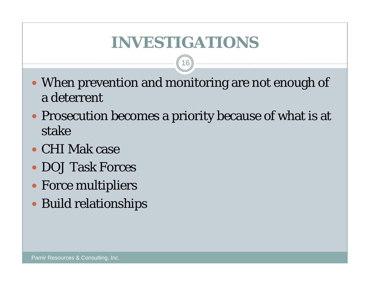## **INVESTIGATIONS**

- When prevention and monitoring are not enough of a deterrent
- Prosecution becomes a priority because of what is at stake
- CHI Mak case
- DOJ Task Forces
- Force multipliers
- Build relationships